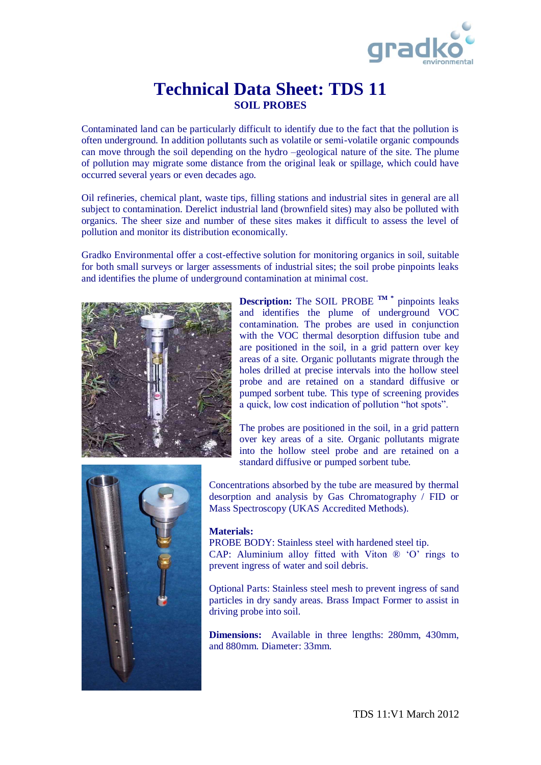

## **Technical Data Sheet: TDS 11 SOIL PROBES**

Contaminated land can be particularly difficult to identify due to the fact that the pollution is often underground. In addition pollutants such as volatile or semi-volatile organic compounds can move through the soil depending on the hydro –geological nature of the site. The plume of pollution may migrate some distance from the original leak or spillage, which could have occurred several years or even decades ago.

Oil refineries, chemical plant, waste tips, filling stations and industrial sites in general are all subject to contamination. Derelict industrial land (brownfield sites) may also be polluted with organics. The sheer size and number of these sites makes it difficult to assess the level of pollution and monitor its distribution economically.

Gradko Environmental offer a cost-effective solution for monitoring organics in soil, suitable for both small surveys or larger assessments of industrial sites; the soil probe pinpoints leaks and identifies the plume of underground contamination at minimal cost.



**Description:** The SOIL PROBE **TM \*** pinpoints leaks and identifies the plume of underground VOC contamination. The probes are used in conjunction with the VOC thermal desorption diffusion tube and are positioned in the soil, in a grid pattern over key areas of a site. Organic pollutants migrate through the holes drilled at precise intervals into the hollow steel probe and are retained on a standard diffusive or pumped sorbent tube. This type of screening provides a quick, low cost indication of pollution "hot spots".

The probes are positioned in the soil, in a grid pattern over key areas of a site. Organic pollutants migrate into the hollow steel probe and are retained on a standard diffusive or pumped sorbent tube.



Concentrations absorbed by the tube are measured by thermal desorption and analysis by Gas Chromatography / FID or Mass Spectroscopy (UKAS Accredited Methods).

## **Materials:**

PROBE BODY: Stainless steel with hardened steel tip. CAP: Aluminium alloy fitted with Viton  $\mathbb{R}$  'O' rings to prevent ingress of water and soil debris.

Optional Parts: Stainless steel mesh to prevent ingress of sand particles in dry sandy areas. Brass Impact Former to assist in driving probe into soil.

**Dimensions:** Available in three lengths: 280mm, 430mm, and 880mm. Diameter: 33mm.